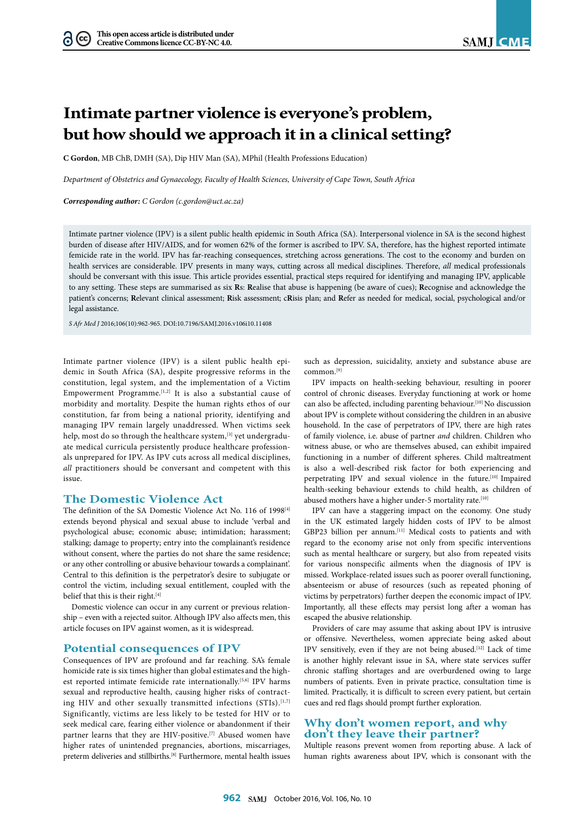# **Intimate partner violence is everyone's problem, but how should we approach it in a clinical setting?**

**C Gordon**, MB ChB, DMH (SA), Dip HIV Man (SA), MPhil (Health Professions Education)

*Department of Obstetrics and Gynaecology, Faculty of Health Sciences, University of Cape Town, South Africa*

*Corresponding author: C Gordon (c.gordon@uct.ac.za)*

Intimate partner violence (IPV) is a silent public health epidemic in South Africa (SA). Interpersonal violence in SA is the second highest burden of disease after HIV/AIDS, and for women 62% of the former is ascribed to IPV. SA, therefore, has the highest reported intimate femicide rate in the world. IPV has far-reaching consequences, stretching across generations. The cost to the economy and burden on health services are considerable. IPV presents in many ways, cutting across all medical disciplines. Therefore, *all* medical professionals should be conversant with this issue. This article provides essential, practical steps required for identifying and managing IPV, applicable to any setting. These steps are summarised as six **R**s: **R**ealise that abuse is happening (be aware of cues); **R**ecognise and acknowledge the patient's concerns; **R**elevant clinical assessment; **R**isk assessment; c**R**isis plan; and **R**efer as needed for medical, social, psychological and/or legal assistance.

*S Afr Med J* 2016;106(10):962-965. DOI:10.7196/SAMJ.2016.v106i10.11408

Intimate partner violence (IPV) is a silent public health epidemic in South Africa (SA), despite progressive reforms in the constitution, legal system, and the implementation of a Victim Empowerment Programme.<sup>[1,2]</sup> It is also a substantial cause of morbidity and mortality. Despite the human rights ethos of our constitution, far from being a national priority, identifying and managing IPV remain largely unaddressed. When victims seek help, most do so through the healthcare system,<sup>[3]</sup> yet undergraduate medical curricula persistently produce healthcare professionals unprepared for IPV. As IPV cuts across all medical disciplines, *all* practitioners should be conversant and competent with this issue.

## **The Domestic Violence Act**

The definition of the SA Domestic Violence Act No. 116 of 1998[4] extends beyond physical and sexual abuse to include 'verbal and psychological abuse; economic abuse; intimidation; harassment; stalking; damage to property; entry into the complainant's residence without consent, where the parties do not share the same residence; or any other controlling or abusive behaviour towards a complainant'. Central to this definition is the perpetrator's desire to subjugate or control the victim, including sexual entitlement, coupled with the belief that this is their right.<sup>[4]</sup>

Domestic violence can occur in any current or previous relationship – even with a rejected suitor. Although IPV also affects men, this article focuses on IPV against women, as it is widespread.

#### **Potential consequences of IPV**

Consequences of IPV are profound and far reaching. SA's female homicide rate is six times higher than global estimates and the highest reported intimate femicide rate internationally.[5,6] IPV harms sexual and reproductive health, causing higher risks of contracting HIV and other sexually transmitted infections (STIs).<sup>[1,7]</sup> Significantly, victims are less likely to be tested for HIV or to seek medical care, fearing either violence or abandonment if their partner learns that they are HIV-positive.<sup>[7]</sup> Abused women have higher rates of unintended pregnancies, abortions, miscarriages, preterm deliveries and stillbirths.[8] Furthermore, mental health issues

such as depression, suicidality, anxiety and substance abuse are common.[9]

IPV impacts on health-seeking behaviour, resulting in poorer control of chronic diseases. Everyday functioning at work or home can also be affected, including parenting behaviour.[10] No discussion about IPV is complete without considering the children in an abusive household. In the case of perpetrators of IPV, there are high rates of family violence, i.e. abuse of partner *and* children. Children who witness abuse, or who are themselves abused, can exhibit impaired functioning in a number of different spheres. Child maltreatment is also a well-described risk factor for both experiencing and perpetrating IPV and sexual violence in the future.<sup>[10]</sup> Impaired health-seeking behaviour extends to child health, as children of abused mothers have a higher under-5 mortality rate.<sup>[10]</sup>

IPV can have a staggering impact on the economy. One study in the UK estimated largely hidden costs of IPV to be almost GBP23 billion per annum.[11] Medical costs to patients and with regard to the economy arise not only from specific interventions such as mental healthcare or surgery, but also from repeated visits for various nonspecific ailments when the diagnosis of IPV is missed. Workplace-related issues such as poorer overall functioning, absenteeism or abuse of resources (such as repeated phoning of victims by perpetrators) further deepen the economic impact of IPV. Importantly, all these effects may persist long after a woman has escaped the abusive relationship.

Providers of care may assume that asking about IPV is intrusive or offensive. Nevertheless, women appreciate being asked about IPV sensitively, even if they are not being abused.[12] Lack of time is another highly relevant issue in SA, where state services suffer chronic staffing shortages and are overburdened owing to large numbers of patients. Even in private practice, consultation time is limited. Practically, it is difficult to screen every patient, but certain cues and red flags should prompt further exploration.

# **Why don't women report, and why don't they leave their partner?**

Multiple reasons prevent women from reporting abuse. A lack of human rights awareness about IPV, which is consonant with the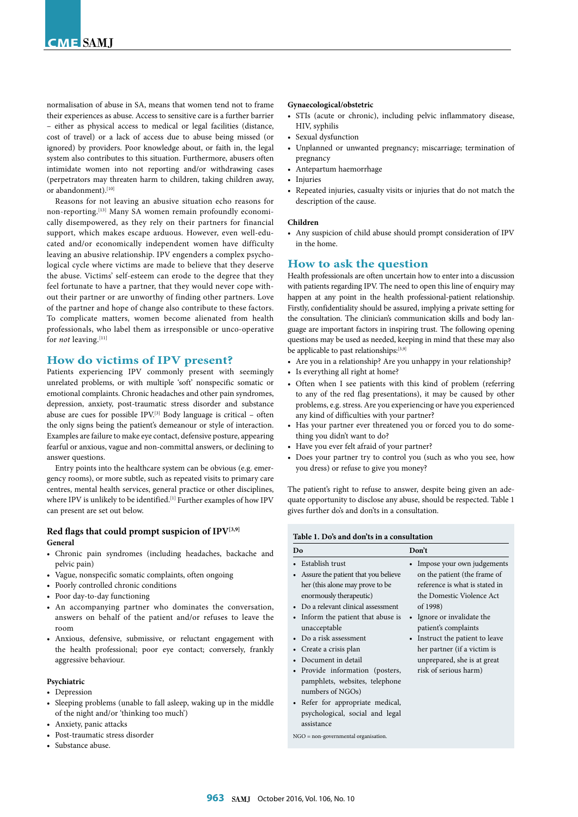normalisation of abuse in SA, means that women tend not to frame their experiences as abuse. Access to sensitive care is a further barrier – either as physical access to medical or legal facilities (distance, cost of travel) or a lack of access due to abuse being missed (or ignored) by providers. Poor knowledge about, or faith in, the legal system also contributes to this situation. Furthermore, abusers often intimidate women into not reporting and/or withdrawing cases (perpetrators may threaten harm to children, taking children away, or abandonment).<sup>[10]</sup>

Reasons for not leaving an abusive situation echo reasons for non-reporting.[13] Many SA women remain profoundly economically disempowered, as they rely on their partners for financial support, which makes escape arduous. However, even well-educated and/or economically independent women have difficulty leaving an abusive relationship. IPV engenders a complex psychological cycle where victims are made to believe that they deserve the abuse. Victims' self-esteem can erode to the degree that they feel fortunate to have a partner, that they would never cope without their partner or are unworthy of finding other partners. Love of the partner and hope of change also contribute to these factors. To complicate matters, women become alienated from health professionals, who label them as irresponsible or unco-operative for *not* leaving.<sup>[11]</sup>

# **How do victims of IPV present?**

Patients experiencing IPV commonly present with seemingly unrelated problems, or with multiple 'soft' nonspecific somatic or emotional complaints. Chronic headaches and other pain syndromes, depression, anxiety, post-traumatic stress disorder and substance abuse are cues for possible IPV.<sup>[3]</sup> Body language is critical - often the only signs being the patient's demeanour or style of interaction. Examples are failure to make eye contact, defensive posture, appearing fearful or anxious, vague and non-committal answers, or declining to answer questions.

Entry points into the healthcare system can be obvious (e.g. emergency rooms), or more subtle, such as repeated visits to primary care centres, mental health services, general practice or other disciplines, where IPV is unlikely to be identified.<sup>[1]</sup> Further examples of how IPV can present are set out below.

## **Red flags that could prompt suspicion of IPV[3,9] General**

- Chronic pain syndromes (including headaches, backache and pelvic pain)
- Vague, nonspecific somatic complaints, often ongoing
- Poorly controlled chronic conditions
- Poor day-to-day functioning
- An accompanying partner who dominates the conversation, answers on behalf of the patient and/or refuses to leave the room
- Anxious, defensive, submissive, or reluctant engagement with the health professional; poor eye contact; conversely, frankly aggressive behaviour.

## **Psychiatric**

- Depression
- Sleeping problems (unable to fall asleep, waking up in the middle of the night and/or 'thinking too much')
- Anxiety, panic attacks
- Post-traumatic stress disorder
- Substance abuse.

#### **Gynaecological/obstetric**

- STIs (acute or chronic), including pelvic inflammatory disease, HIV, syphilis
- Sexual dysfunction
- Unplanned or unwanted pregnancy; miscarriage; termination of pregnancy
- Antepartum haemorrhage
- Injuries
- Repeated injuries, casualty visits or injuries that do not match the description of the cause.

#### **Children**

• Any suspicion of child abuse should prompt consideration of IPV in the home.

# **How to ask the question**

Health professionals are often uncertain how to enter into a discussion with patients regarding IPV. The need to open this line of enquiry may happen at any point in the health professional-patient relationship. Firstly, confidentiality should be assured, implying a private setting for the consultation. The clinician's communication skills and body language are important factors in inspiring trust. The following opening questions may be used as needed, keeping in mind that these may also be applicable to past relationships:[3,9]

- Are you in a relationship? Are you unhappy in your relationship?
- Is everything all right at home?
- Often when I see patients with this kind of problem (referring to any of the red flag presentations), it may be caused by other problems, e.g. stress. Are you experiencing or have you experienced any kind of difficulties with your partner?
- Has your partner ever threatened you or forced you to do something you didn't want to do?
- Have you ever felt afraid of your partner?
- Does your partner try to control you (such as who you see, how you dress) or refuse to give you money?

The patient's right to refuse to answer, despite being given an adequate opportunity to disclose any abuse, should be respected. Table 1 gives further do's and don'ts in a consultation.

#### **Table 1. Do's and don'ts in a consultation**

| Do                                                                                                                                                                                                                                                                                                                                                                                                                                                                                                                     | Don't                                                                                                                                                                                                                                                                                                                                       |
|------------------------------------------------------------------------------------------------------------------------------------------------------------------------------------------------------------------------------------------------------------------------------------------------------------------------------------------------------------------------------------------------------------------------------------------------------------------------------------------------------------------------|---------------------------------------------------------------------------------------------------------------------------------------------------------------------------------------------------------------------------------------------------------------------------------------------------------------------------------------------|
| Establish trust<br>Assure the patient that you believe<br>$\bullet$<br>her (this alone may prove to be<br>enormously therapeutic)<br>• Do a relevant clinical assessment<br>Inform the patient that abuse is<br>$\bullet$<br>unacceptable<br>• Do a risk assessment<br>Create a crisis plan<br>$\bullet$<br>Document in detail<br>$\bullet$<br>Provide information (posters,<br>$\bullet$<br>pamphlets, websites, telephone<br>numbers of NGOs)<br>• Refer for appropriate medical,<br>psychological, social and legal | Impose your own judgements<br>on the patient (the frame of<br>reference is what is stated in<br>the Domestic Violence Act<br>of 1998)<br>Ignore or invalidate the<br>$\bullet$<br>patient's complaints<br>Instruct the patient to leave<br>$\bullet$<br>her partner (if a victim is<br>unprepared, she is at great<br>risk of serious harm) |
| assistance                                                                                                                                                                                                                                                                                                                                                                                                                                                                                                             |                                                                                                                                                                                                                                                                                                                                             |

NGO = non-governmental organisation.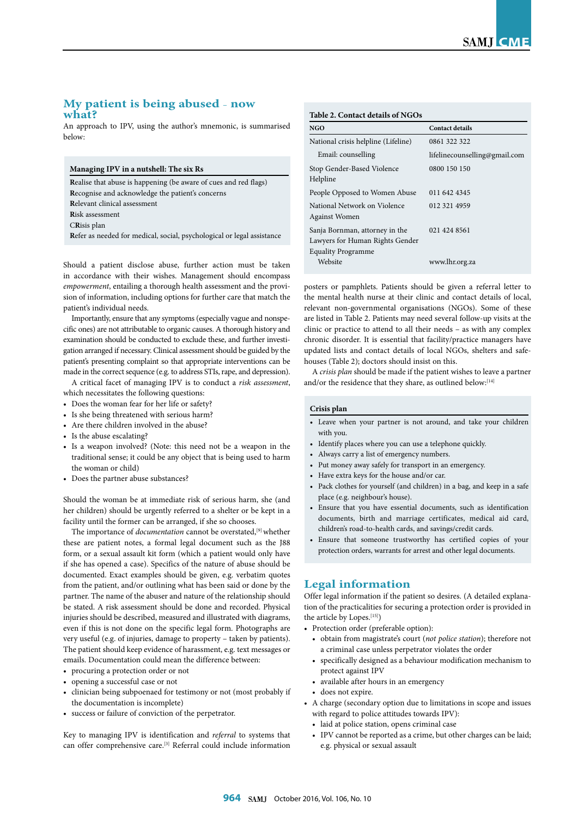# **My patient is being abused** – **now what?**

An approach to IPV, using the author's mnemonic, is summarised below:

| Managing IPV in a nutshell: The six Rs                                  |  |
|-------------------------------------------------------------------------|--|
| <b>Realise that abuse is happening (be aware of cues and red flags)</b> |  |
| Recognise and acknowledge the patient's concerns                        |  |
| Relevant clinical assessment                                            |  |
| Risk assessment                                                         |  |
| CRisis plan                                                             |  |
| Refer as needed for medical, social, psychological or legal assistance  |  |

Should a patient disclose abuse, further action must be taken in accordance with their wishes. Management should encompass *empowerment*, entailing a thorough health assessment and the provision of information, including options for further care that match the patient's individual needs.

Importantly, ensure that any symptoms (especially vague and nonspecific ones) are not attributable to organic causes. A thorough history and examination should be conducted to exclude these, and further investigation arranged if necessary. Clinical assessment should be guided by the patient's presenting complaint so that appropriate interventions can be made in the correct sequence (e.g. to address STIs, rape, and depression).

A critical facet of managing IPV is to conduct a *risk assessment*, which necessitates the following questions:

- Does the woman fear for her life or safety?
- Is she being threatened with serious harm?
- Are there children involved in the abuse?
- Is the abuse escalating?
- Is a weapon involved? (Note: this need not be a weapon in the traditional sense; it could be any object that is being used to harm the woman or child)
- Does the partner abuse substances?

Should the woman be at immediate risk of serious harm, she (and her children) should be urgently referred to a shelter or be kept in a facility until the former can be arranged, if she so chooses.

The importance of *documentation* cannot be overstated,<sup>[9]</sup> whether these are patient notes, a formal legal document such as the J88 form, or a sexual assault kit form (which a patient would only have if she has opened a case). Specifics of the nature of abuse should be documented. Exact examples should be given, e.g. verbatim quotes from the patient, and/or outlining what has been said or done by the partner. The name of the abuser and nature of the relationship should be stated. A risk assessment should be done and recorded. Physical injuries should be described, measured and illustrated with diagrams, even if this is not done on the specific legal form. Photographs are very useful (e.g. of injuries, damage to property – taken by patients). The patient should keep evidence of harassment, e.g. text messages or emails. Documentation could mean the difference between:

- procuring a protection order or not
- opening a successful case or not
- clinician being subpoenaed for testimony or not (most probably if the documentation is incomplete)
- success or failure of conviction of the perpetrator.

Key to managing IPV is identification and *referral* to systems that can offer comprehensive care.[3] Referral could include information

| NGO                                                                                            | <b>Contact details</b>        |
|------------------------------------------------------------------------------------------------|-------------------------------|
| National crisis helpline (Lifeline)                                                            | 0861 322 322                  |
| Email: counselling                                                                             | lifelinecounselling@gmail.com |
| Stop Gender-Based Violence<br>Helpline                                                         | 0800 150 150                  |
| People Opposed to Women Abuse                                                                  | 011 642 4345                  |
| National Network on Violence<br><b>Against Women</b>                                           | 012 321 4959                  |
| Sanja Bornman, attorney in the<br>Lawyers for Human Rights Gender<br><b>Equality Programme</b> | 021 424 8561                  |
| Website                                                                                        | www.lhr.org.za                |

posters or pamphlets. Patients should be given a referral letter to the mental health nurse at their clinic and contact details of local, relevant non-governmental organisations (NGOs). Some of these are listed in Table 2. Patients may need several follow-up visits at the clinic or practice to attend to all their needs – as with any complex chronic disorder. It is essential that facility/practice managers have updated lists and contact details of local NGOs, shelters and safehouses (Table 2); doctors should insist on this.

A *crisis plan* should be made if the patient wishes to leave a partner and/or the residence that they share, as outlined below:[14]

## **Crisis plan**

- Leave when your partner is not around, and take your children with you.
- Identify places where you can use a telephone quickly.
- Always carry a list of emergency numbers.
- Put money away safely for transport in an emergency.
- Have extra keys for the house and/or car.
- Pack clothes for yourself (and children) in a bag, and keep in a safe place (e.g. neighbour's house).
- Ensure that you have essential documents, such as identification documents, birth and marriage certificates, medical aid card, children's road-to-health cards, and savings/credit cards.
- Ensure that someone trustworthy has certified copies of your protection orders, warrants for arrest and other legal documents.

# **Legal information**

Offer legal information if the patient so desires. (A detailed explanation of the practicalities for securing a protection order is provided in the article by Lopes.[15])

- Protection order (preferable option):
	- obtain from magistrate's court (*not police station*); therefore not a criminal case unless perpetrator violates the order
	- specifically designed as a behaviour modification mechanism to protect against IPV
	- available after hours in an emergency
- does not expire.
- A charge (secondary option due to limitations in scope and issues with regard to police attitudes towards IPV):
	- laid at police station, opens criminal case
	- IPV cannot be reported as a crime, but other charges can be laid; e.g. physical or sexual assault